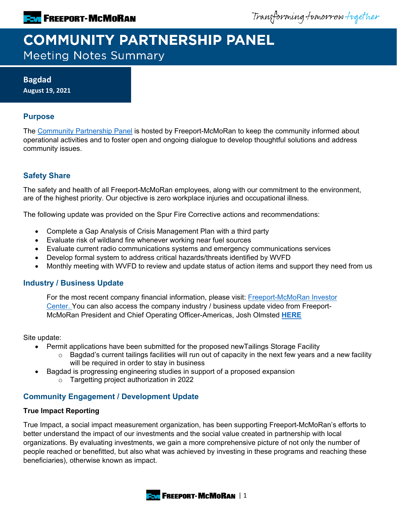Transforming tomorrow together

# **COMMUNITY PARTNERSHIP PANEL Meeting Notes Summary**

**Bagdad August 19, 2021**

## **Purpose**

The [Community Partnership Panel](https://www.freeportinmycommunity.com/stakeholders/stakeholder-engagement-) is hosted by Freeport-McMoRan to keep the community informed about operational activities and to foster open and ongoing dialogue to develop thoughtful solutions and address community issues.

# **Safety Share**

The safety and health of all Freeport-McMoRan employees, along with our commitment to the environment, are of the highest priority. Our objective is zero workplace injuries and occupational illness.

The following update was provided on the Spur Fire Corrective actions and recommendations:

- Complete a Gap Analysis of Crisis Management Plan with a third party
- Evaluate risk of wildland fire whenever working near fuel sources
- Evaluate current radio communications systems and emergency communications services
- Develop formal system to address critical hazards/threats identified by WVFD
- Monthly meeting with WVFD to review and update status of action items and support they need from us

#### **Industry / Business Update**

For the most recent company financial information, please visit: [Freeport-McMoRan Investor](http://investors.fcx.com/investors/default.aspx)  [Center.](http://investors.fcx.com/investors/default.aspx) You can also access the company industry / business update video from Freeport-McMoRan President and Chief Operating Officer-Americas, Josh Olmsted **[HERE](https://fmi.hosted.panopto.com/Panopto/Pages/Viewer.aspx?id=1db79e82-512e-46a0-87fa-ad7b01320113)**

Site update:

- Permit applications have been submitted for the proposed newTailings Storage Facility
	- $\circ$  Bagdad's current tailings facilities will run out of capacity in the next few years and a new facility will be required in order to stay in business
	- Bagdad is progressing engineering studies in support of a proposed expansion
		- o Targetting project authorization in 2022

## **Community Engagement / Development Update**

#### **True Impact Reporting**

True Impact, a social impact measurement organization, has been supporting Freeport-McMoRan's efforts to better understand the impact of our investments and the social value created in partnership with local organizations. By evaluating investments, we gain a more comprehensive picture of not only the number of people reached or benefitted, but also what was achieved by investing in these programs and reaching these beneficiaries), otherwise known as impact.